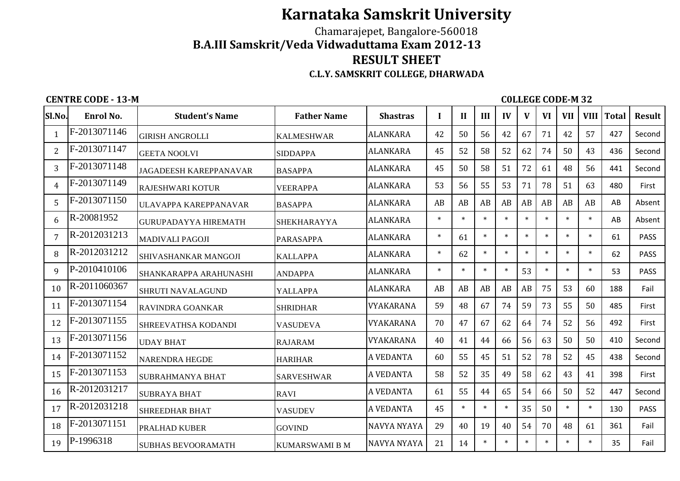## **Karnataka Samskrit University**

## Chamarajepet, Bangalore-560018 **B.A.III Samskrit/Veda Vidwaduttama Exam 2012-13RESULT SHEETC.L.Y. SAMSKRIT COLLEGE, DHARWADA**

**CENTRE CODE - 13-M** COLLEGE CODE-M 32

| Sl.No.         | Enrol No.    | <b>Student's Name</b>         | <b>Father Name</b>    | <b>Shastras</b>    | $\bf{I}$ | П      | III    | IV      | V      | <b>VI</b> | <b>VII</b> | <b>VIII</b> | <b>Total</b> | <b>Result</b> |
|----------------|--------------|-------------------------------|-----------------------|--------------------|----------|--------|--------|---------|--------|-----------|------------|-------------|--------------|---------------|
| $\mathbf{1}$   | F-2013071146 | <b>GIRISH ANGROLLI</b>        | <b>KALMESHWAR</b>     | <b>ALANKARA</b>    | 42       | 50     | 56     | 42      | 67     | 71        | 42         | 57          | 427          | Second        |
| $\overline{2}$ | F-2013071147 | <b>GEETA NOOLVI</b>           | <b>SIDDAPPA</b>       | <b>ALANKARA</b>    | 45       | 52     | 58     | 52      | 62     | 74        | 50         | 43          | 436          | Second        |
| 3              | F-2013071148 | <b>JAGADEESH KAREPPANAVAR</b> | <b>BASAPPA</b>        | <b>ALANKARA</b>    | 45       | 50     | 58     | 51      | 72     | 61        | 48         | 56          | 441          | Second        |
| 4              | F-2013071149 | <b>RAJESHWARI KOTUR</b>       | <b>VEERAPPA</b>       | <b>ALANKARA</b>    | 53       | 56     | 55     | 53      | 71     | 78        | 51         | 63          | 480          | First         |
| 5              | F-2013071150 | ULAVAPPA KAREPPANAVAR         | <b>BASAPPA</b>        | <b>ALANKARA</b>    | AB       | AB     | AB     | AB      | AB     | AB        | AB         | AB          | AB           | Absent        |
| 6              | R-20081952   | <b>GURUPADAYYA HIREMATH</b>   | <b>SHEKHARAYYA</b>    | <b>ALANKARA</b>    | $\ast$   | $\ast$ | $\ast$ | $\star$ | $\ast$ | $\ast$    | $\ast$     | $\ast$      | AB           | Absent        |
| 7              | R-2012031213 | <b>MADIVALI PAGOJI</b>        | <b>PARASAPPA</b>      | <b>ALANKARA</b>    | $\ast$   | 61     | $\ast$ | $\ast$  | $\ast$ | $\ast$    | $\ast$     | $\ast$      | 61           | <b>PASS</b>   |
| 8              | R-2012031212 | SHIVASHANKAR MANGOJI          | <b>KALLAPPA</b>       | <b>ALANKARA</b>    | $\ast$   | 62     | $\ast$ | $\ast$  | $\ast$ | $\ast$    | $\ast$     | $\ast$      | 62           | <b>PASS</b>   |
| 9              | P-2010410106 | SHANKARAPPA ARAHUNASHI        | <b>ANDAPPA</b>        | <b>ALANKARA</b>    | $\ast$   | $\ast$ | $\ast$ | $\ast$  | 53     | $\ast$    | $\ast$     | $\ast$      | 53           | <b>PASS</b>   |
| 10             | R-2011060367 | <b>SHRUTI NAVALAGUND</b>      | <b>YALLAPPA</b>       | <b>ALANKARA</b>    | AB       | AB     | AB     | AB      | AB     | 75        | 53         | 60          | 188          | Fail          |
| 11             | F-2013071154 | <b>RAVINDRA GOANKAR</b>       | <b>SHRIDHAR</b>       | <b>VYAKARANA</b>   | 59       | 48     | 67     | 74      | 59     | 73        | 55         | 50          | 485          | First         |
| 12             | F-2013071155 | SHREEVATHSA KODANDI           | VASUDEVA              | VYAKARANA          | 70       | 47     | 67     | 62      | 64     | 74        | 52         | 56          | 492          | First         |
| 13             | F-2013071156 | <b>UDAY BHAT</b>              | <b>RAJARAM</b>        | <b>VYAKARANA</b>   | 40       | 41     | 44     | 66      | 56     | 63        | 50         | 50          | 410          | Second        |
| 14             | F-2013071152 | <b>NARENDRA HEGDE</b>         | <b>HARIHAR</b>        | A VEDANTA          | 60       | 55     | 45     | 51      | 52     | 78        | 52         | 45          | 438          | Second        |
| 15             | F-2013071153 | <b>SUBRAHMANYA BHAT</b>       | <b>SARVESHWAR</b>     | A VEDANTA          | 58       | 52     | 35     | 49      | 58     | 62        | 43         | 41          | 398          | First         |
| 16             | R-2012031217 | <b>SUBRAYA BHAT</b>           | <b>RAVI</b>           | <b>A VEDANTA</b>   | 61       | 55     | 44     | 65      | 54     | 66        | 50         | 52          | 447          | Second        |
| 17             | R-2012031218 | <b>SHREEDHAR BHAT</b>         | <b>VASUDEV</b>        | <b>A VEDANTA</b>   | 45       | $\ast$ | $\ast$ | $\ast$  | 35     | 50        | $\ast$     | $\ast$      | 130          | <b>PASS</b>   |
| 18             | F-2013071151 | PRALHAD KUBER                 | <b>GOVIND</b>         | <b>NAVYA NYAYA</b> | 29       | 40     | 19     | 40      | 54     | 70        | 48         | 61          | 361          | Fail          |
| 19             | P-1996318    | <b>SUBHAS BEVOORAMATH</b>     | <b>KUMARSWAMI B M</b> | <b>NAVYA NYAYA</b> | 21       | 14     | $\ast$ | $\ast$  | $\ast$ | $\ast$    | $\ast$     | $\ast$      | 35           | Fail          |